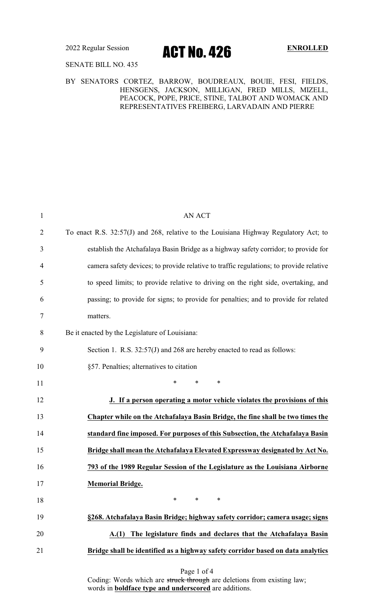2022 Regular Session **ACT NO. 426** ENROLLED

SENATE BILL NO. 435

### BY SENATORS CORTEZ, BARROW, BOUDREAUX, BOUIE, FESI, FIELDS, HENSGENS, JACKSON, MILLIGAN, FRED MILLS, MIZELL, PEACOCK, POPE, PRICE, STINE, TALBOT AND WOMACK AND REPRESENTATIVES FREIBERG, LARVADAIN AND PIERRE

| $\mathbf{1}$   | <b>AN ACT</b>                                                                          |
|----------------|----------------------------------------------------------------------------------------|
| $\overline{2}$ | To enact R.S. 32:57(J) and 268, relative to the Louisiana Highway Regulatory Act; to   |
| 3              | establish the Atchafalaya Basin Bridge as a highway safety corridor; to provide for    |
| 4              | camera safety devices; to provide relative to traffic regulations; to provide relative |
| 5              | to speed limits; to provide relative to driving on the right side, overtaking, and     |
| 6              | passing; to provide for signs; to provide for penalties; and to provide for related    |
| 7              | matters.                                                                               |
| 8              | Be it enacted by the Legislature of Louisiana:                                         |
| 9              | Section 1. R.S. 32:57(J) and 268 are hereby enacted to read as follows:                |
| 10             | §57. Penalties; alternatives to citation                                               |
| 11             | *<br>$\ast$<br>$\ast$                                                                  |
| 12             | J. If a person operating a motor vehicle violates the provisions of this               |
| 13             | Chapter while on the Atchafalaya Basin Bridge, the fine shall be two times the         |
| 14             | standard fine imposed. For purposes of this Subsection, the Atchafalaya Basin          |
| 15             | Bridge shall mean the Atchafalaya Elevated Expressway designated by Act No.            |
| 16             | 793 of the 1989 Regular Session of the Legislature as the Louisiana Airborne           |
| 17             | <b>Memorial Bridge.</b>                                                                |
| 18             | $*$ and $*$<br>$\ast$<br>∗                                                             |
| 19             | §268. Atchafalaya Basin Bridge; highway safety corridor; camera usage; signs           |
| 20             | A.(1) The legislature finds and declares that the Atchafalaya Basin                    |
| 21             | Bridge shall be identified as a highway safety corridor based on data analytics        |
|                | Page 1 of 4                                                                            |

Coding: Words which are struck through are deletions from existing law; words in **boldface type and underscored** are additions.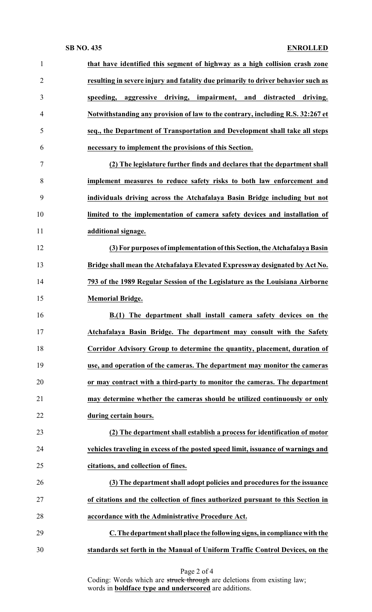## **SB NO. 435 ENROLLED**

| $\mathbf{1}$   | that have identified this segment of highway as a high collision crash zone      |
|----------------|----------------------------------------------------------------------------------|
| $\overline{2}$ | resulting in severe injury and fatality due primarily to driver behavior such as |
| 3              | aggressive driving, impairment, and<br>distracted<br>speeding,<br>driving.       |
| $\overline{4}$ | Notwithstanding any provision of law to the contrary, including R.S. 32:267 et   |
| 5              | seq., the Department of Transportation and Development shall take all steps      |
| 6              | necessary to implement the provisions of this Section.                           |
| $\tau$         | (2) The legislature further finds and declares that the department shall         |
| 8              | implement measures to reduce safety risks to both law enforcement and            |
| 9              | individuals driving across the Atchafalaya Basin Bridge including but not        |
| 10             | limited to the implementation of camera safety devices and installation of       |
| 11             | additional signage.                                                              |
| 12             | (3) For purposes of implementation of this Section, the Atchafalaya Basin        |
| 13             | Bridge shall mean the Atchafalaya Elevated Expressway designated by Act No.      |
| 14             | 793 of the 1989 Regular Session of the Legislature as the Louisiana Airborne     |
| 15             | <b>Memorial Bridge.</b>                                                          |
| 16             | B.(1) The department shall install camera safety devices on the                  |
| 17             | Atchafalaya Basin Bridge. The department may consult with the Safety             |
| 18             | Corridor Advisory Group to determine the quantity, placement, duration of        |
| 19             | use, and operation of the cameras. The department may monitor the cameras        |
| 20             | or may contract with a third-party to monitor the cameras. The department        |
| 21             | may determine whether the cameras should be utilized continuously or only        |
| 22             | during certain hours.                                                            |
| 23             | (2) The department shall establish a process for identification of motor         |
| 24             | vehicles traveling in excess of the posted speed limit, issuance of warnings and |
| 25             | citations, and collection of fines.                                              |
| 26             | (3) The department shall adopt policies and procedures for the issuance          |
| 27             | of citations and the collection of fines authorized pursuant to this Section in  |
| 28             | accordance with the Administrative Procedure Act.                                |
| 29             | C. The department shall place the following signs, in compliance with the        |
| 30             | standards set forth in the Manual of Uniform Traffic Control Devices, on the     |

Coding: Words which are struck through are deletions from existing law; words in **boldface type and underscored** are additions.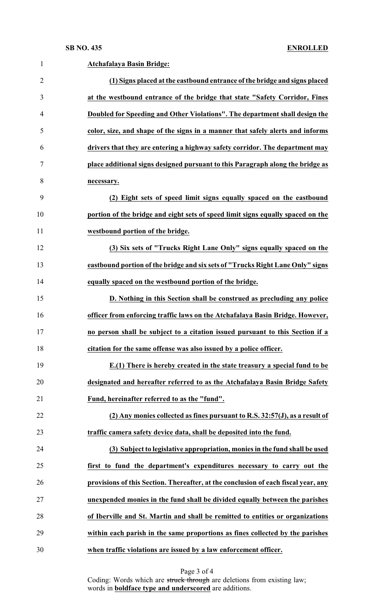| $\mathbf{1}$   | <b>Atchafalaya Basin Bridge:</b>                                                   |
|----------------|------------------------------------------------------------------------------------|
| $\overline{2}$ | (1) Signs placed at the eastbound entrance of the bridge and signs placed          |
| 3              | at the westbound entrance of the bridge that state "Safety Corridor, Fines         |
| $\overline{4}$ | Doubled for Speeding and Other Violations". The department shall design the        |
| 5              | color, size, and shape of the signs in a manner that safely alerts and informs     |
| 6              | drivers that they are entering a highway safety corridor. The department may       |
| 7              | place additional signs designed pursuant to this Paragraph along the bridge as     |
| 8              | necessary.                                                                         |
| 9              | (2) Eight sets of speed limit signs equally spaced on the eastbound                |
| 10             | portion of the bridge and eight sets of speed limit signs equally spaced on the    |
| 11             | westbound portion of the bridge.                                                   |
| 12             | (3) Six sets of "Trucks Right Lane Only" signs equally spaced on the               |
| 13             | eastbound portion of the bridge and six sets of "Trucks Right Lane Only" signs     |
| 14             | equally spaced on the westbound portion of the bridge.                             |
| 15             | D. Nothing in this Section shall be construed as precluding any police             |
| 16             | officer from enforcing traffic laws on the Atchafalaya Basin Bridge. However,      |
| 17             | no person shall be subject to a citation issued pursuant to this Section if a      |
| 18             | citation for the same offense was also issued by a police officer.                 |
| 19             | $E(1)$ There is hereby created in the state treasury a special fund to be          |
| 20             | designated and hereafter referred to as the Atchafalaya Basin Bridge Safety        |
| 21             | Fund, hereinafter referred to as the "fund".                                       |
| 22             | (2) Any monies collected as fines pursuant to R.S. 32:57(J), as a result of        |
| 23             | traffic camera safety device data, shall be deposited into the fund.               |
| 24             | (3) Subject to legislative appropriation, monies in the fund shall be used         |
| 25             | first to fund the department's expenditures necessary to carry out the             |
| 26             | provisions of this Section. Thereafter, at the conclusion of each fiscal year, any |
| 27             | unexpended monies in the fund shall be divided equally between the parishes        |
| 28             | of Iberville and St. Martin and shall be remitted to entities or organizations     |
| 29             | within each parish in the same proportions as fines collected by the parishes      |
| 30             | when traffic violations are issued by a law enforcement officer.                   |

Page 3 of 4

Coding: Words which are struck through are deletions from existing law; words in **boldface type and underscored** are additions.